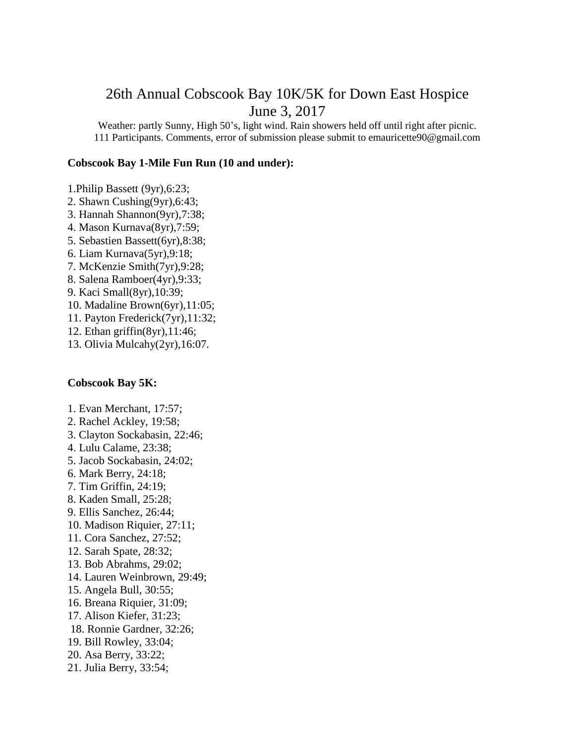## 26th Annual Cobscook Bay 10K/5K for Down East Hospice June 3, 2017

Weather: partly Sunny, High 50's, light wind. Rain showers held off until right after picnic. 111 Participants. Comments, error of submission please submit to emauricette90@gmail.com

## **Cobscook Bay 1-Mile Fun Run (10 and under):**

- 1.Philip Bassett (9yr),6:23;
- 2. Shawn Cushing(9yr),6:43;
- 3. Hannah Shannon(9yr),7:38;
- 4. Mason Kurnava(8yr),7:59;
- 5. Sebastien Bassett(6yr),8:38;
- 6. Liam Kurnava(5yr),9:18;
- 7. McKenzie Smith(7yr),9:28;
- 8. Salena Ramboer(4yr),9:33;
- 9. Kaci Small(8yr),10:39;
- 10. Madaline Brown(6yr),11:05;
- 11. Payton Frederick(7yr),11:32;
- 12. Ethan griffin(8yr),11:46;
- 13. Olivia Mulcahy(2yr),16:07.

## **Cobscook Bay 5K:**

- 1. Evan Merchant, 17:57;
- 2. Rachel Ackley, 19:58;
- 3. Clayton Sockabasin, 22:46;
- 4. Lulu Calame, 23:38;
- 5. Jacob Sockabasin, 24:02;
- 6. Mark Berry, 24:18;
- 7. Tim Griffin, 24:19;
- 8. Kaden Small, 25:28;
- 9. Ellis Sanchez, 26:44;
- 10. Madison Riquier, 27:11;
- 11. Cora Sanchez, 27:52;
- 12. Sarah Spate, 28:32;
- 13. Bob Abrahms, 29:02;
- 14. Lauren Weinbrown, 29:49;
- 15. Angela Bull, 30:55;
- 16. Breana Riquier, 31:09;
- 17. Alison Kiefer, 31:23;
- 18. Ronnie Gardner, 32:26;
- 19. Bill Rowley, 33:04;
- 20. Asa Berry, 33:22;
- 21. Julia Berry, 33:54;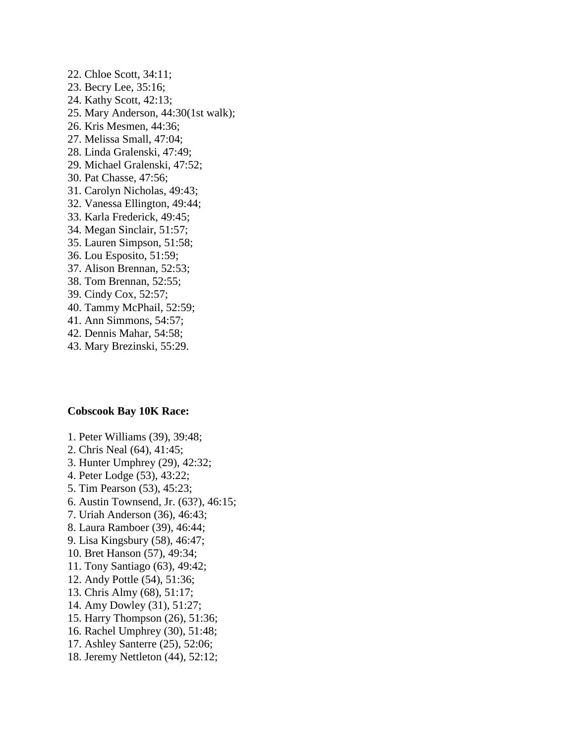22. Chloe Scott, 34:11; 23. Becry Lee, 35:16; 24. Kathy Scott, 42:13; 25. Mary Anderson, 44:30(1st walk); 26. Kris Mesmen, 44:36; 27. Melissa Small, 47:04; 28. Linda Gralenski, 47:49; 29. Michael Gralenski, 47:52; 30. Pat Chasse, 47:56; 31. Carolyn Nicholas, 49:43; 32. Vanessa Ellington, 49:44; 33. Karla Frederick, 49:45; 34. Megan Sinclair, 51:57; 35. Lauren Simpson, 51:58; 36. Lou Esposito, 51:59; 37. Alison Brennan, 52:53; 38. Tom Brennan, 52:55; 39. Cindy Cox, 52:57; 40. Tammy McPhail, 52:59; 41. Ann Simmons, 54:57; 42. Dennis Mahar, 54:58;

43. Mary Brezinski, 55:29.

## **Cobscook Bay 10K Race:**

- 1. Peter Williams (39), 39:48;
- 2. Chris Neal (64), 41:45;
- 3. Hunter Umphrey (29), 42:32;
- 4. Peter Lodge (53), 43:22;
- 5. Tim Pearson (53), 45:23;
- 6. Austin Townsend, Jr. (63?), 46:15;
- 7. Uriah Anderson (36), 46:43;
- 8. Laura Ramboer (39), 46:44;
- 9. Lisa Kingsbury (58), 46:47;
- 10. Bret Hanson (57), 49:34;
- 11. Tony Santiago (63), 49:42;
- 12. Andy Pottle (54), 51:36;
- 13. Chris Almy (68), 51:17;
- 14. Amy Dowley (31), 51:27;
- 15. Harry Thompson (26), 51:36;
- 16. Rachel Umphrey (30), 51:48;
- 17. Ashley Santerre (25), 52:06;
- 18. Jeremy Nettleton (44), 52:12;